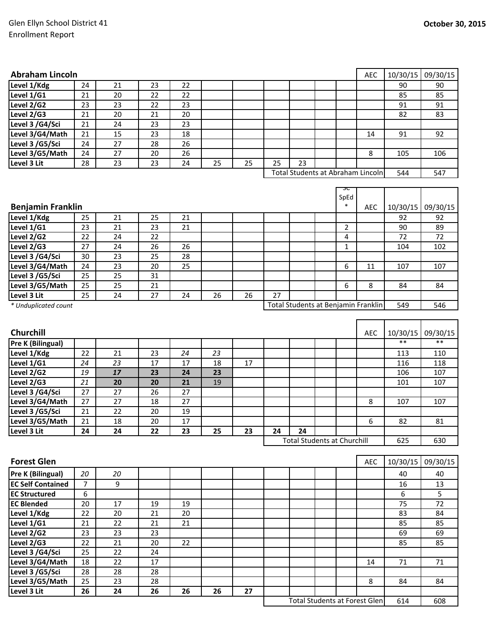| <b>Abraham Lincoln</b>                |                |    |    |    |    |    |    |                                      |                       | AEC        | 10/30/15         | 09/30/15         |
|---------------------------------------|----------------|----|----|----|----|----|----|--------------------------------------|-----------------------|------------|------------------|------------------|
| Level 1/Kdg                           | 24             | 21 | 23 | 22 |    |    |    |                                      |                       |            | 90               | 90               |
| Level 1/G1                            | 21             | 20 | 22 | 22 |    |    |    |                                      |                       |            | 85               | 85               |
| Level 2/G2                            | 23             | 23 | 22 | 23 |    |    |    |                                      |                       |            | 91               | 91               |
| Level 2/G3                            | 21             | 20 | 21 | 20 |    |    |    |                                      |                       |            | 82               | 83               |
| Level 3 /G4/Sci                       | 21             | 24 | 23 | 23 |    |    |    |                                      |                       |            |                  |                  |
| Level 3/G4/Math                       | 21             | 15 | 23 | 18 |    |    |    |                                      |                       | 14         | 91               | 92               |
| Level 3 /G5/Sci                       | 24             | 27 | 28 | 26 |    |    |    |                                      |                       |            |                  |                  |
| Level 3/G5/Math                       | 24             | 27 | 20 | 26 |    |    |    |                                      |                       | 8          | 105              | 106              |
| Level 3 Lit                           | 28             | 23 | 23 | 24 | 25 | 25 | 25 | 23                                   |                       |            |                  |                  |
|                                       |                |    |    |    |    |    |    | Total Students at Abraham Lincoln    |                       |            | 544              | 547              |
|                                       |                |    |    |    |    |    |    |                                      | ᠍ᠴᡄ<br>SpEd<br>$\ast$ |            |                  |                  |
| <b>Benjamin Franklin</b>              |                |    |    |    |    |    |    |                                      |                       | AEC        | 10/30/15         | 09/30/15         |
| Level 1/Kdg                           | 25             | 21 | 25 | 21 |    |    |    |                                      |                       |            | 92               | 92               |
| Level 1/G1                            | 23             | 21 | 23 | 21 |    |    |    |                                      | $\overline{2}$        |            | 90               | 89               |
| Level 2/G2                            | 22             | 24 | 22 |    |    |    |    |                                      | 4                     |            | 72               | 72               |
| Level 2/G3                            | 27             | 24 | 26 | 26 |    |    |    |                                      | $\mathbf{1}$          |            | 104              | 102              |
| Level 3 /G4/Sci                       | 30             | 23 | 25 | 28 |    |    |    |                                      |                       |            |                  |                  |
| Level 3/G4/Math                       | 24             | 23 | 20 | 25 |    |    |    |                                      | 6                     | 11         | 107              | 107              |
| Level 3 /G5/Sci                       | 25             | 25 | 31 |    |    |    |    |                                      |                       |            |                  |                  |
| Level 3/G5/Math                       | 25             | 25 | 21 |    |    |    |    |                                      | 6                     | 8          | 84               | 84               |
| Level 3 Lit<br>* Unduplicated count   | 25             | 24 | 27 | 24 | 26 | 26 | 27 | Total Students at Benjamin Franklin  |                       |            | 549              | 546              |
| Churchill<br><b>Pre K (Bilingual)</b> |                |    |    |    |    |    |    |                                      |                       | <b>AEC</b> | 10/30/15<br>$**$ | 09/30/15<br>$**$ |
| Level 1/Kdg                           | 22             | 21 | 23 | 24 | 23 |    |    |                                      |                       |            | 113              | 110              |
| Level 1/G1                            | 24             | 23 | 17 | 17 | 18 | 17 |    |                                      |                       |            | 116              | 118              |
| Level 2/G2                            | 19             | 17 | 23 | 24 | 23 |    |    |                                      |                       |            | 106              | 107              |
| Level 2/G3                            | 21             | 20 | 20 | 21 | 19 |    |    |                                      |                       |            | 101              | 107              |
| Level 3 /G4/Sci                       | 27             | 27 | 26 | 27 |    |    |    |                                      |                       |            |                  |                  |
| Level 3/G4/Math                       | 27             | 27 | 18 | 27 |    |    |    |                                      |                       | 8          | 107              | 107              |
| Level 3 /G5/Sci                       | 21             | 22 | 20 | 19 |    |    |    |                                      |                       |            |                  |                  |
| Level 3/G5/Math                       | 21             | 18 | 20 | 17 |    |    |    |                                      |                       | 6          | 82               | 81               |
| Level 3 Lit                           | 24             | 24 | 22 | 23 | 25 | 23 | 24 | 24                                   |                       |            |                  |                  |
|                                       |                |    |    |    |    |    |    | <b>Total Students at Churchill</b>   |                       |            | 625              | 630              |
| <b>Forest Glen</b>                    |                |    |    |    |    |    |    |                                      |                       | AEC        | 10/30/15         | 09/30/15         |
| Pre K (Bilingual)                     | 20             | 20 |    |    |    |    |    |                                      |                       |            | 40               | 40               |
| <b>EC Self Contained</b>              | $\overline{7}$ | 9  |    |    |    |    |    |                                      |                       |            | 16               | 13               |
| <b>EC Structured</b>                  | 6              |    |    |    |    |    |    |                                      |                       |            | 6                | 5                |
| <b>EC Blended</b>                     | 20             | 17 | 19 | 19 |    |    |    |                                      |                       |            | 75               | 72               |
| Level 1/Kdg                           | 22             | 20 | 21 | 20 |    |    |    |                                      |                       |            | 83               | 84               |
| Level 1/G1                            | 21             | 22 | 21 | 21 |    |    |    |                                      |                       |            | 85               | 85               |
| Level 2/G2                            | 23             | 23 | 23 |    |    |    |    |                                      |                       |            | 69               | 69               |
| Level 2/G3                            | 22             | 21 | 20 | 22 |    |    |    |                                      |                       |            | 85               | 85               |
| Level 3 /G4/Sci                       | 25             | 22 | 24 |    |    |    |    |                                      |                       |            |                  |                  |
| Level 3/G4/Math                       | 18             | 22 | 17 |    |    |    |    |                                      |                       | 14         | 71               | 71               |
| Level 3 /G5/Sci                       | 28             | 28 | 28 |    |    |    |    |                                      |                       |            |                  |                  |
| Level 3/G5/Math                       | 25             | 23 | 28 |    |    |    |    |                                      |                       | 8          | 84               | 84               |
| Level 3 Lit                           | 26             | 24 | 26 | 26 | 26 | 27 |    |                                      |                       |            |                  |                  |
|                                       |                |    |    |    |    |    |    | <b>Total Students at Forest Glen</b> |                       |            | 614              | 608              |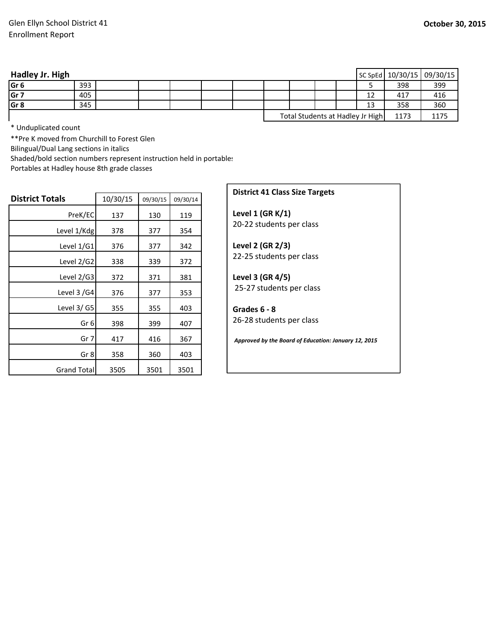| Hadley Jr. High |     |  |  |  |  |                                  | SC SpEd   10/30/15   09/30/15 |      |
|-----------------|-----|--|--|--|--|----------------------------------|-------------------------------|------|
| Gr <sub>6</sub> | 393 |  |  |  |  |                                  | 398                           | 399  |
| Gr <sub>7</sub> | 405 |  |  |  |  | 12                               | 417                           | 416  |
| Gr <sub>8</sub> | 345 |  |  |  |  | 13                               | 358                           | 360  |
|                 |     |  |  |  |  | Total Students at Hadley Jr High | 1173                          | 1175 |

\* Unduplicated count

\*\*Pre K moved from Churchill to Forest Glen

Bilingual/Dual Lang sections in italics

Shaded/bold section numbers represent instruction held in portables

Portables at Hadley house 8th grade classes

| <b>District Totals</b> | 10/30/15 | 09/30/15 | 09/30/14 |
|------------------------|----------|----------|----------|
| PreK/EC                | 137      | 130      | 119      |
| Level 1/Kdg            | 378      | 377      | 354      |
| Level 1/G1             | 376      | 377      | 342      |
| Level 2/G2             | 338      | 339      | 372      |
| Level 2/G3             | 372      | 371      | 381      |
| Level $3/64$           | 376      | 377      | 353      |
| Level $3/$ G5          | 355      | 355      | 403      |
| Gr <sub>6</sub>        | 398      | 399      | 407      |
| Gr 7                   | 417      | 416      | 367      |
| Gr 8                   | 358      | 360      | 403      |
| <b>Grand Total</b>     | 3505     | 3501     | 3501     |

## **District 41 Class Size Targets**

**Level 1 (GR K/1)**  20‐22 students per class

**Level 2 (GR 2/3)** 22‐25 students per class

**Level 3 (GR 4/5)** 25‐27 students per class

**Grades 6 ‐ 8**  26‐28 students per class

*Approved by the Board of Education: January 12, 2015*